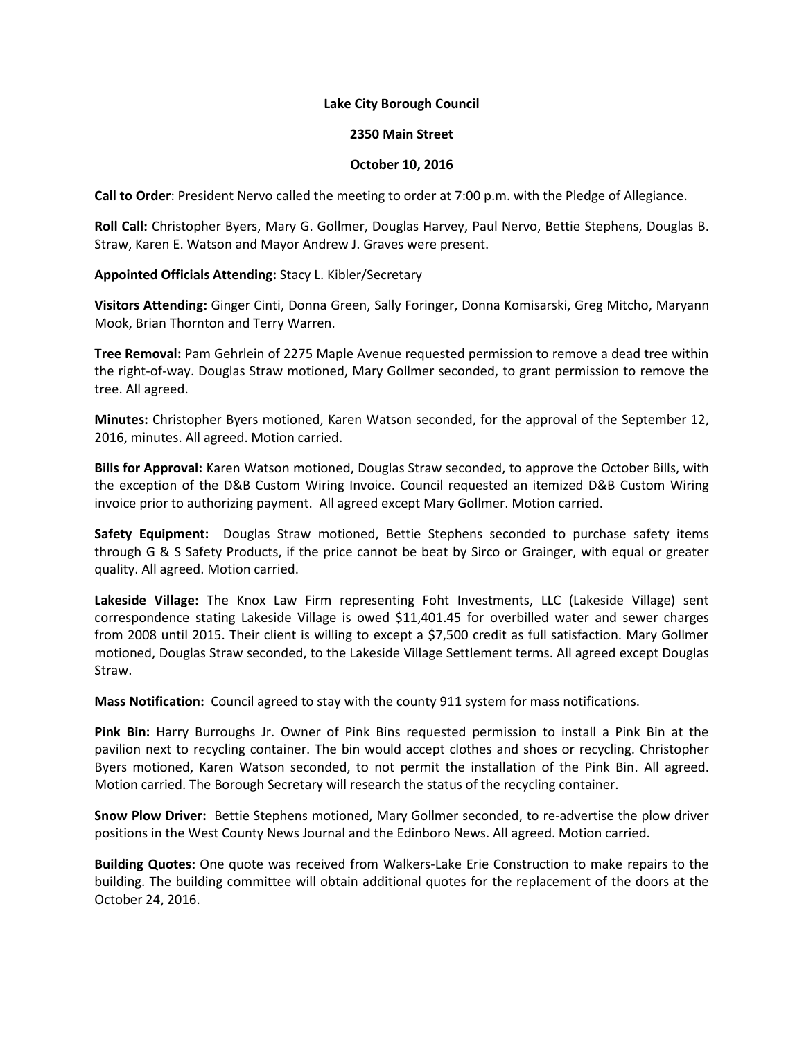## **Lake City Borough Council**

## **2350 Main Street**

## **October 10, 2016**

**Call to Order**: President Nervo called the meeting to order at 7:00 p.m. with the Pledge of Allegiance.

**Roll Call:** Christopher Byers, Mary G. Gollmer, Douglas Harvey, Paul Nervo, Bettie Stephens, Douglas B. Straw, Karen E. Watson and Mayor Andrew J. Graves were present.

**Appointed Officials Attending:** Stacy L. Kibler/Secretary

**Visitors Attending:** Ginger Cinti, Donna Green, Sally Foringer, Donna Komisarski, Greg Mitcho, Maryann Mook, Brian Thornton and Terry Warren.

**Tree Removal:** Pam Gehrlein of 2275 Maple Avenue requested permission to remove a dead tree within the right-of-way. Douglas Straw motioned, Mary Gollmer seconded, to grant permission to remove the tree. All agreed.

**Minutes:** Christopher Byers motioned, Karen Watson seconded, for the approval of the September 12, 2016, minutes. All agreed. Motion carried.

**Bills for Approval:** Karen Watson motioned, Douglas Straw seconded, to approve the October Bills, with the exception of the D&B Custom Wiring Invoice. Council requested an itemized D&B Custom Wiring invoice prior to authorizing payment. All agreed except Mary Gollmer. Motion carried.

**Safety Equipment:** Douglas Straw motioned, Bettie Stephens seconded to purchase safety items through G & S Safety Products, if the price cannot be beat by Sirco or Grainger, with equal or greater quality. All agreed. Motion carried.

**Lakeside Village:** The Knox Law Firm representing Foht Investments, LLC (Lakeside Village) sent correspondence stating Lakeside Village is owed \$11,401.45 for overbilled water and sewer charges from 2008 until 2015. Their client is willing to except a \$7,500 credit as full satisfaction. Mary Gollmer motioned, Douglas Straw seconded, to the Lakeside Village Settlement terms. All agreed except Douglas Straw.

**Mass Notification:** Council agreed to stay with the county 911 system for mass notifications.

**Pink Bin:** Harry Burroughs Jr. Owner of Pink Bins requested permission to install a Pink Bin at the pavilion next to recycling container. The bin would accept clothes and shoes or recycling. Christopher Byers motioned, Karen Watson seconded, to not permit the installation of the Pink Bin. All agreed. Motion carried. The Borough Secretary will research the status of the recycling container.

**Snow Plow Driver:** Bettie Stephens motioned, Mary Gollmer seconded, to re-advertise the plow driver positions in the West County News Journal and the Edinboro News. All agreed. Motion carried.

**Building Quotes:** One quote was received from Walkers-Lake Erie Construction to make repairs to the building. The building committee will obtain additional quotes for the replacement of the doors at the October 24, 2016.